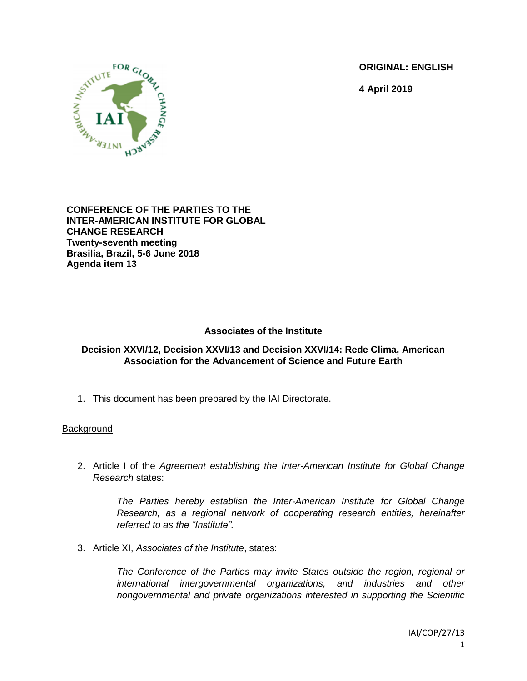**ORIGINAL: ENGLISH**

**4 April 2019**



**CONFERENCE OF THE PARTIES TO THE INTER-AMERICAN INSTITUTE FOR GLOBAL CHANGE RESEARCH Twenty-seventh meeting Brasilia, Brazil, 5-6 June 2018 Agenda item 13**

## **Associates of the Institute**

### **Decision XXVI/12, Decision XXVI/13 and Decision XXVI/14: Rede Clima, American Association for the Advancement of Science and Future Earth**

1. This document has been prepared by the IAI Directorate.

### **Background**

2. Article I of the *Agreement establishing the Inter-American Institute for Global Change Research* states:

*The Parties hereby establish the Inter-American Institute for Global Change Research, as a regional network of cooperating research entities, hereinafter referred to as the "Institute".*

3. Article XI, *Associates of the Institute*, states:

*The Conference of the Parties may invite States outside the region, regional or international intergovernmental organizations, and industries and other nongovernmental and private organizations interested in supporting the Scientific*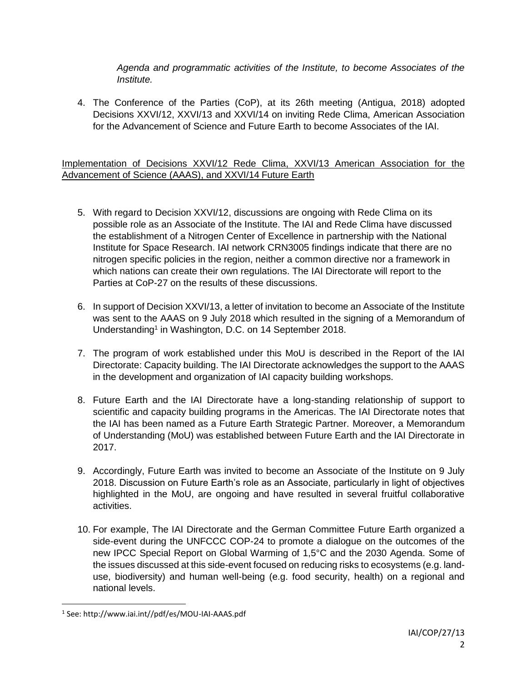*Agenda and programmatic activities of the Institute, to become Associates of the Institute.*

4. The Conference of the Parties (CoP), at its 26th meeting (Antigua, 2018) adopted Decisions XXVI/12, XXVI/13 and XXVI/14 on inviting Rede Clima, American Association for the Advancement of Science and Future Earth to become Associates of the IAI.

Implementation of Decisions XXVI/12 Rede Clima, XXVI/13 American Association for the Advancement of Science (AAAS), and XXVI/14 Future Earth

- 5. With regard to Decision XXVI/12, discussions are ongoing with Rede Clima on its possible role as an Associate of the Institute. The IAI and Rede Clima have discussed the establishment of a Nitrogen Center of Excellence in partnership with the National Institute for Space Research. IAI network CRN3005 findings indicate that there are no nitrogen specific policies in the region, neither a common directive nor a framework in which nations can create their own regulations. The IAI Directorate will report to the Parties at CoP-27 on the results of these discussions.
- 6. In support of Decision XXVI/13, a letter of invitation to become an Associate of the Institute was sent to the AAAS on 9 July 2018 which resulted in the signing of a Memorandum of Understanding<sup>1</sup> in Washington, D.C. on 14 September 2018.
- 7. The program of work established under this MoU is described in the Report of the IAI Directorate: Capacity building. The IAI Directorate acknowledges the support to the AAAS in the development and organization of IAI capacity building workshops.
- 8. Future Earth and the IAI Directorate have a long-standing relationship of support to scientific and capacity building programs in the Americas. The IAI Directorate notes that the IAI has been named as a Future Earth Strategic Partner. Moreover, a Memorandum of Understanding (MoU) was established between Future Earth and the IAI Directorate in 2017.
- 9. Accordingly, Future Earth was invited to become an Associate of the Institute on 9 July 2018. Discussion on Future Earth's role as an Associate, particularly in light of objectives highlighted in the MoU, are ongoing and have resulted in several fruitful collaborative activities.
- 10. For example, The IAI Directorate and the German Committee Future Earth organized a side-event during the UNFCCC COP-24 to promote a dialogue on the outcomes of the new IPCC Special Report on Global Warming of 1,5°C and the 2030 Agenda. Some of the issues discussed at this side-event focused on reducing risks to ecosystems (e.g. landuse, biodiversity) and human well-being (e.g. food security, health) on a regional and national levels.

<sup>1</sup> See: http://www.iai.int//pdf/es/MOU-IAI-AAAS.pdf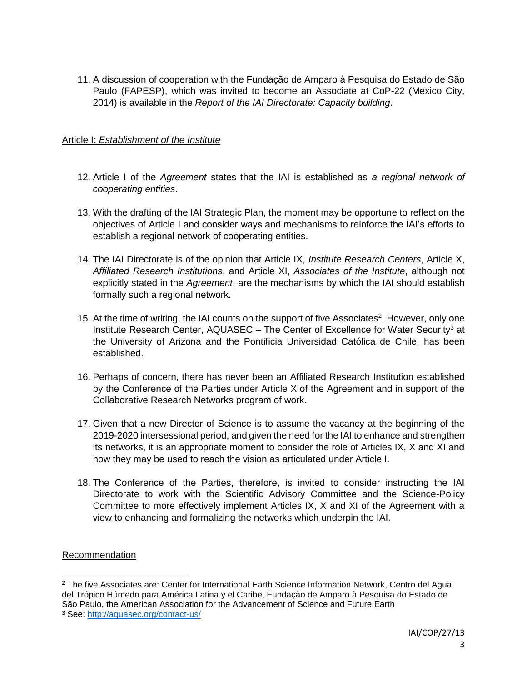11. A discussion of cooperation with the Fundação de Amparo à Pesquisa do Estado de São Paulo (FAPESP), which was invited to become an Associate at CoP-22 (Mexico City, 2014) is available in the *Report of the IAI Directorate: Capacity building*.

## Article I: *Establishment of the Institute*

- 12. Article I of the *Agreement* states that the IAI is established as *a regional network of cooperating entities*.
- 13. With the drafting of the IAI Strategic Plan, the moment may be opportune to reflect on the objectives of Article I and consider ways and mechanisms to reinforce the IAI's efforts to establish a regional network of cooperating entities.
- 14. The IAI Directorate is of the opinion that Article IX, *Institute Research Centers*, Article X, *Affiliated Research Institutions*, and Article XI, *Associates of the Institute*, although not explicitly stated in the *Agreement*, are the mechanisms by which the IAI should establish formally such a regional network.
- 15. At the time of writing, the IAI counts on the support of five Associates<sup>2</sup>. However, only one Institute Research Center,  $AQUASEC - The Center$  of Excellence for Water Security<sup>3</sup> at the University of Arizona and the Pontificia Universidad Católica de Chile, has been established.
- 16. Perhaps of concern, there has never been an Affiliated Research Institution established by the Conference of the Parties under Article X of the Agreement and in support of the Collaborative Research Networks program of work.
- 17. Given that a new Director of Science is to assume the vacancy at the beginning of the 2019-2020 intersessional period, and given the need for the IAI to enhance and strengthen its networks, it is an appropriate moment to consider the role of Articles IX, X and XI and how they may be used to reach the vision as articulated under Article I.
- 18. The Conference of the Parties, therefore, is invited to consider instructing the IAI Directorate to work with the Scientific Advisory Committee and the Science-Policy Committee to more effectively implement Articles IX, X and XI of the Agreement with a view to enhancing and formalizing the networks which underpin the IAI.

### Recommendation

<sup>2</sup> The five Associates are: Center for International Earth Science Information Network, Centro del Agua del Trópico Húmedo para América Latina y el Caribe, Fundação de Amparo à Pesquisa do Estado de São Paulo, the American Association for the Advancement of Science and Future Earth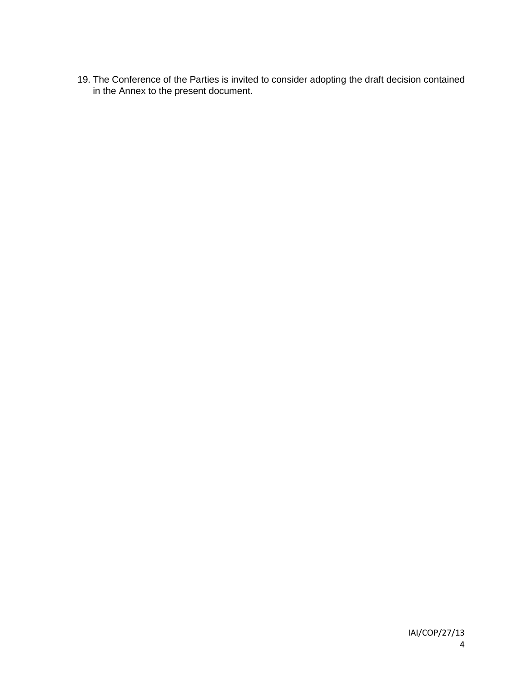19. The Conference of the Parties is invited to consider adopting the draft decision contained in the Annex to the present document.